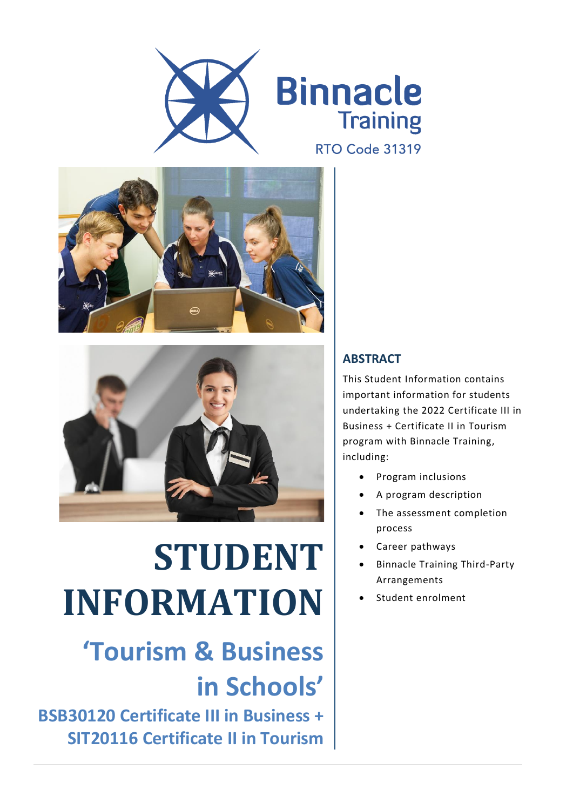





# **STUDENT INFORMATION**

## **'Tourism & Business in Schools'**

**BSB30120 Certificate III in Business + SIT20116 Certificate II in Tourism**

#### **ABSTRACT**

This Student Information contains important information for students undertaking the 2022 Certificate III in Business + Certificate II in Tourism program with Binnacle Training, including:

- Program inclusions
- A program description
- The assessment completion process
- Career pathways
- Binnacle Training Third-Party Arrangements
- Student enrolment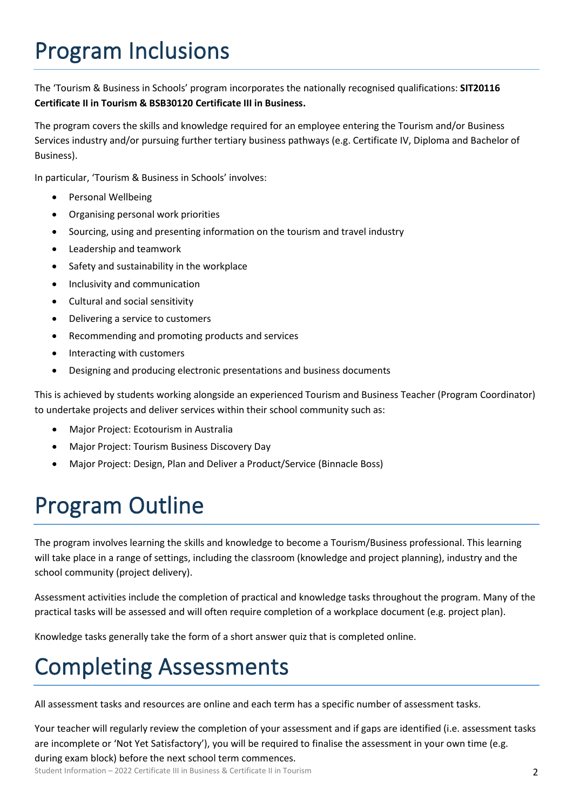## Program Inclusions

The 'Tourism & Business in Schools' program incorporates the nationally recognised qualifications: **SIT20116 Certificate II in Tourism & BSB30120 Certificate III in Business.**

The program covers the skills and knowledge required for an employee entering the Tourism and/or Business Services industry and/or pursuing further tertiary business pathways (e.g. Certificate IV, Diploma and Bachelor of Business).

In particular, 'Tourism & Business in Schools' involves:

- Personal Wellbeing
- Organising personal work priorities
- Sourcing, using and presenting information on the tourism and travel industry
- Leadership and teamwork
- Safety and sustainability in the workplace
- Inclusivity and communication
- Cultural and social sensitivity
- Delivering a service to customers
- Recommending and promoting products and services
- Interacting with customers
- Designing and producing electronic presentations and business documents

This is achieved by students working alongside an experienced Tourism and Business Teacher (Program Coordinator) to undertake projects and deliver services within their school community such as:

- Major Project: Ecotourism in Australia
- Major Project: Tourism Business Discovery Day
- Major Project: Design, Plan and Deliver a Product/Service (Binnacle Boss)

### Program Outline

The program involves learning the skills and knowledge to become a Tourism/Business professional. This learning will take place in a range of settings, including the classroom (knowledge and project planning), industry and the school community (project delivery).

Assessment activities include the completion of practical and knowledge tasks throughout the program. Many of the practical tasks will be assessed and will often require completion of a workplace document (e.g. project plan).

Knowledge tasks generally take the form of a short answer quiz that is completed online.

#### Completing Assessments

All assessment tasks and resources are online and each term has a specific number of assessment tasks.

Your teacher will regularly review the completion of your assessment and if gaps are identified (i.e. assessment tasks are incomplete or 'Not Yet Satisfactory'), you will be required to finalise the assessment in your own time (e.g. during exam block) before the next school term commences.

Student Information – 2022 Certificate III in Business & Certificate II in Tourism 2008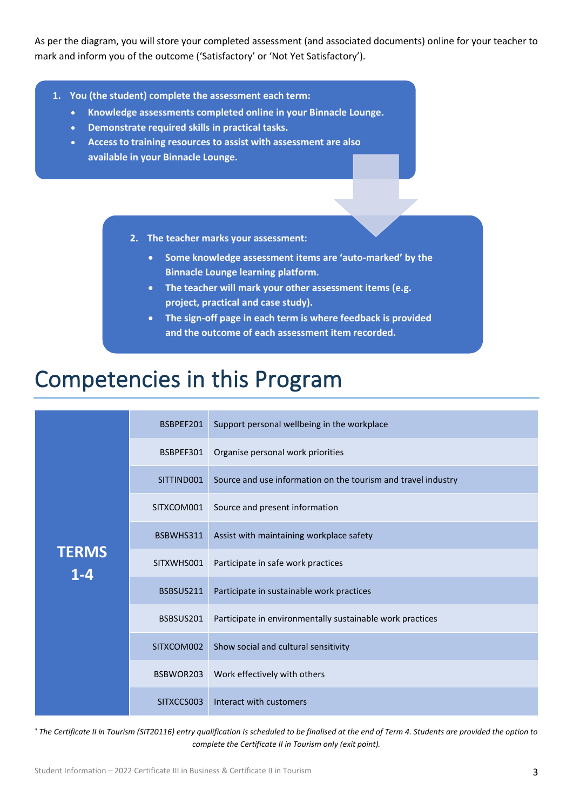As per the diagram, you will store your completed assessment (and associated documents) online for your teacher to mark and inform you of the outcome ('Satisfactory' or 'Not Yet Satisfactory').

- **1. You (the student) complete the assessment each term:**
	- **Knowledge assessments completed online in your Binnacle Lounge.**
	- **Demonstrate required skills in practical tasks.**
	- **Access to training resources to assist with assessment are also available in your Binnacle Lounge.**
		- **2. The teacher marks your assessment:**
			- **Some knowledge assessment items are 'auto-marked' by the Binnacle Lounge learning platform.**
			- **The teacher will mark your other assessment items (e.g. project, practical and case study).**
			- **The sign-off page in each term is where feedback is provided and the outcome of each assessment item recorded.**

#### Competencies in this Program

| <b>TERMS</b><br>$1 - 4$ | BSBPEF201  | Support personal wellbeing in the workplace                   |
|-------------------------|------------|---------------------------------------------------------------|
|                         | BSBPEF301  | Organise personal work priorities                             |
|                         | SITTIND001 | Source and use information on the tourism and travel industry |
|                         | SITXCOM001 | Source and present information                                |
|                         | BSBWHS311  | Assist with maintaining workplace safety                      |
|                         | SITXWHS001 | Participate in safe work practices                            |
|                         | BSBSUS211  | Participate in sustainable work practices                     |
|                         | BSBSUS201  | Participate in environmentally sustainable work practices     |
|                         | SITXCOM002 | Show social and cultural sensitivity                          |
|                         | BSBWOR203  | Work effectively with others                                  |
|                         | SITXCCS003 | Interact with customers                                       |

\* *The Certificate II in Tourism (SIT20116) entry qualification is scheduled to be finalised at the end of Term 4. Students are provided the option to complete the Certificate II in Tourism only (exit point).*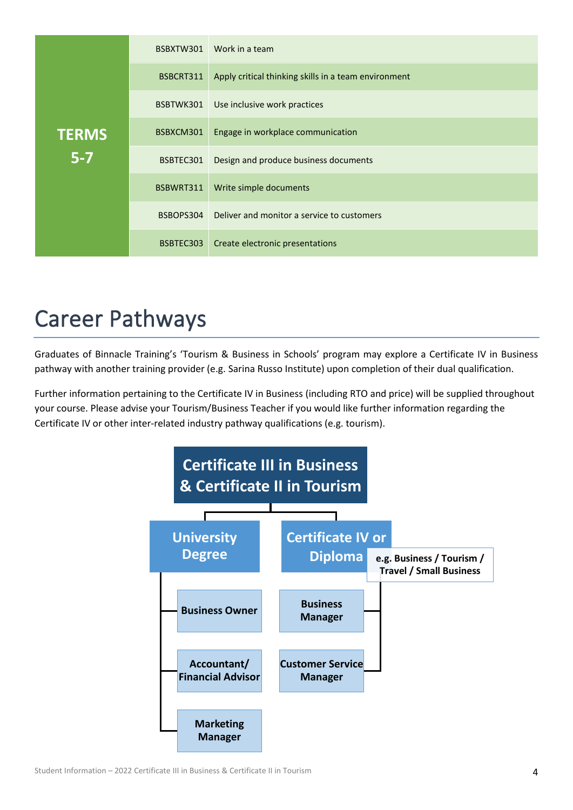|              | BSBXTW301 | Work in a team                                       |
|--------------|-----------|------------------------------------------------------|
|              | BSBCRT311 | Apply critical thinking skills in a team environment |
|              | BSBTWK301 | Use inclusive work practices                         |
| <b>TERMS</b> | BSBXCM301 | Engage in workplace communication                    |
| $5 - 7$      | BSBTEC301 | Design and produce business documents                |
|              | BSBWRT311 | Write simple documents                               |
|              | BSBOPS304 | Deliver and monitor a service to customers           |
|              | BSBTEC303 | Create electronic presentations                      |

#### Career Pathways

Graduates of Binnacle Training's 'Tourism & Business in Schools' program may explore a Certificate IV in Business pathway with another training provider (e.g. Sarina Russo Institute) upon completion of their dual qualification.

Further information pertaining to the Certificate IV in Business (including RTO and price) will be supplied throughout your course. Please advise your Tourism/Business Teacher if you would like further information regarding the Certificate IV or other inter-related industry pathway qualifications (e.g. tourism).

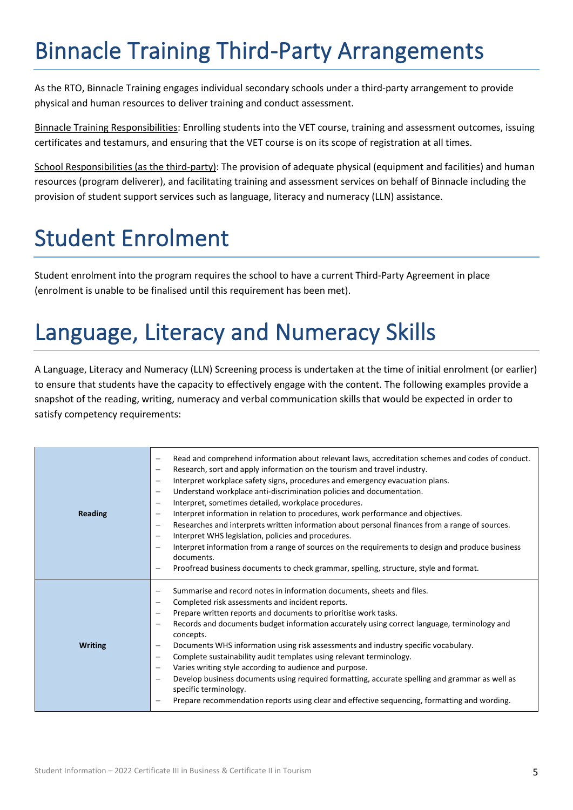## Binnacle Training Third-Party Arrangements

As the RTO, Binnacle Training engages individual secondary schools under a third-party arrangement to provide physical and human resources to deliver training and conduct assessment.

Binnacle Training Responsibilities: Enrolling students into the VET course, training and assessment outcomes, issuing certificates and testamurs, and ensuring that the VET course is on its scope of registration at all times.

School Responsibilities (as the third-party): The provision of adequate physical (equipment and facilities) and human resources (program deliverer), and facilitating training and assessment services on behalf of Binnacle including the provision of student support services such as language, literacy and numeracy (LLN) assistance.

## Student Enrolment

Student enrolment into the program requires the school to have a current Third-Party Agreement in place (enrolment is unable to be finalised until this requirement has been met).

## Language, Literacy and Numeracy Skills

A Language, Literacy and Numeracy (LLN) Screening process is undertaken at the time of initial enrolment (or earlier) to ensure that students have the capacity to effectively engage with the content. The following examples provide a snapshot of the reading, writing, numeracy and verbal communication skills that would be expected in order to satisfy competency requirements:

| Reading        | Read and comprehend information about relevant laws, accreditation schemes and codes of conduct.<br>$\qquad \qquad -$<br>Research, sort and apply information on the tourism and travel industry.<br>$\overline{\phantom{m}}$<br>Interpret workplace safety signs, procedures and emergency evacuation plans.<br>$\overline{\phantom{m}}$<br>Understand workplace anti-discrimination policies and documentation.<br>$\overline{\phantom{m}}$<br>Interpret, sometimes detailed, workplace procedures.<br>$\qquad \qquad -$<br>Interpret information in relation to procedures, work performance and objectives.<br>$\qquad \qquad -$<br>Researches and interprets written information about personal finances from a range of sources.<br>$\overline{\phantom{0}}$<br>Interpret WHS legislation, policies and procedures.<br>$\overline{\phantom{m}}$<br>Interpret information from a range of sources on the requirements to design and produce business<br>$\qquad \qquad -$<br>documents.<br>Proofread business documents to check grammar, spelling, structure, style and format.<br>$\qquad \qquad -$ |
|----------------|------------------------------------------------------------------------------------------------------------------------------------------------------------------------------------------------------------------------------------------------------------------------------------------------------------------------------------------------------------------------------------------------------------------------------------------------------------------------------------------------------------------------------------------------------------------------------------------------------------------------------------------------------------------------------------------------------------------------------------------------------------------------------------------------------------------------------------------------------------------------------------------------------------------------------------------------------------------------------------------------------------------------------------------------------------------------------------------------------------|
| <b>Writing</b> | Summarise and record notes in information documents, sheets and files.<br>$\qquad \qquad -$<br>Completed risk assessments and incident reports.<br>$\overline{\phantom{m}}$<br>Prepare written reports and documents to prioritise work tasks.<br>$\overline{\phantom{m}}$<br>Records and documents budget information accurately using correct language, terminology and<br>$\overline{\phantom{m}}$<br>concepts.<br>Documents WHS information using risk assessments and industry specific vocabulary.<br>$\overline{\phantom{m}}$<br>Complete sustainability audit templates using relevant terminology.<br>$\qquad \qquad -$<br>Varies writing style according to audience and purpose.<br>Develop business documents using required formatting, accurate spelling and grammar as well as<br>$\qquad \qquad -$<br>specific terminology.<br>Prepare recommendation reports using clear and effective sequencing, formatting and wording.                                                                                                                                                                |